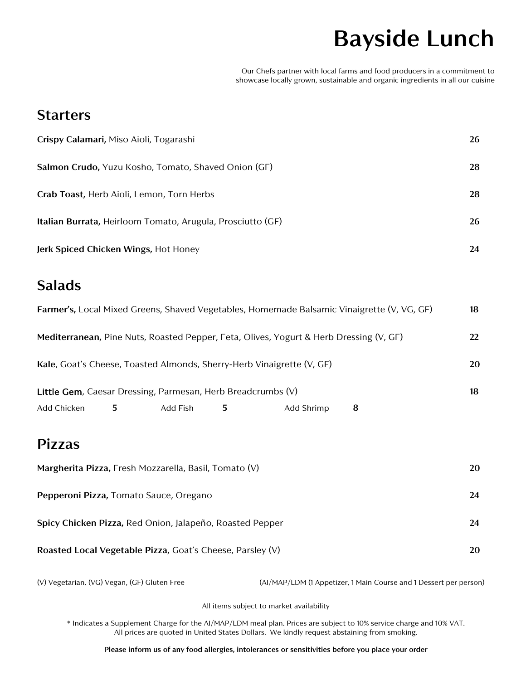# **Bayside Lunch**

Our Chefs partner with local farms and food producers in a commitment to showcase locally grown, sustainable and organic ingredients in all our cuisine

#### **Starters**

| Crispy Calamari, Miso Aioli, Togarashi                            | 26 |
|-------------------------------------------------------------------|----|
| Salmon Crudo, Yuzu Kosho, Tomato, Shaved Onion (GF)               | 28 |
| Crab Toast, Herb Aioli, Lemon, Torn Herbs                         | 28 |
| <b>Italian Burrata, Heirloom Tomato, Arugula, Prosciutto (GF)</b> | 26 |
| Jerk Spiced Chicken Wings, Hot Honey                              | 24 |

### **Salads**

|                                                                                        |    |          |    |            | Farmer's, Local Mixed Greens, Shaved Vegetables, Homemade Balsamic Vinaigrette (V, VG, GF) | 18 |
|----------------------------------------------------------------------------------------|----|----------|----|------------|--------------------------------------------------------------------------------------------|----|
| Mediterranean, Pine Nuts, Roasted Pepper, Feta, Olives, Yogurt & Herb Dressing (V, GF) |    |          |    |            |                                                                                            | 22 |
| Kale, Goat's Cheese, Toasted Almonds, Sherry-Herb Vinaigrette (V, GF)                  |    |          | 20 |            |                                                                                            |    |
| Little Gem, Caesar Dressing, Parmesan, Herb Breadcrumbs (V)                            |    |          |    |            |                                                                                            | 18 |
| Add Chicken                                                                            | 5. | Add Fish | 5  | Add Shrimp | 8                                                                                          |    |

## **Pizzas**

| Margherita Pizza, Fresh Mozzarella, Basil, Tomato (V)     | 20 |
|-----------------------------------------------------------|----|
| <b>Pepperoni Pizza, Tomato Sauce, Oregano</b>             | 24 |
| Spicy Chicken Pizza, Red Onion, Jalapeño, Roasted Pepper  | 24 |
| Roasted Local Vegetable Pizza, Goat's Cheese, Parsley (V) | 20 |

(V) Vegetarian, (VG) Vegan, (GF) Gluten Free (AI/MAP/LDM (1 Appetizer, 1 Main Course and 1 Dessert per person)

All items subject to market availability

\* Indicates a Supplement Charge for the AI/MAP/LDM meal plan. Prices are subject to 10% service charge and 10% VAT. All prices are quoted in United States Dollars. We kindly request abstaining from smoking.